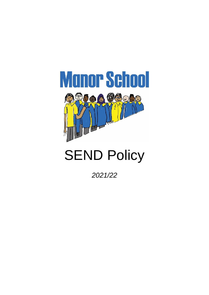

# **SEND Policy**

*2021/22*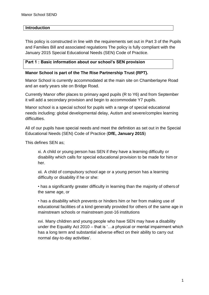#### **Introduction**

This policy is constructed in line with the requirements set out in Part 3 of the Pupils and Families Bill and associated regulations The policy is fully compliant with the January 2015 Special Educational Needs (SEN) Code of Practice.

#### **Part 1 : Basic information about our school's SEN provision**

#### **Manor School is part of the The Rise Partnership Trust (RPT).**

Manor School is currently accommodated at the main site on Chamberlayne Road and an early years site on Bridge Road.

Currently Manor offer places to primary aged pupils (R to Y6) and from September it will add a secondary provision and begin to accommodate Y7 pupils.

Manor school is a special school for pupils with a range of special educational needs including: global developmental delay, Autism and severe/complex learning difficulties.

All of our pupils have special needs and meet the definition as set out in the Special Educational Needs (SEN) Code of Practice (**DfE, January 2015**)

This defines SEN as;

xi. A child or young person has SEN if they have a learning difficulty or disability which calls for special educational provision to be made for him or her.

xii. A child of compulsory school age or a young person has a learning difficulty or disability if he or she:

• has a significantly greater difficulty in learning than the majority of othersof the same age, or

• has a disability which prevents or hinders him or her from making use of educational facilities of a kind generally provided for others of the same age in mainstream schools or mainstream post-16 institutions

xvi. Many children and young people who have SEN may have a disability under the Equality Act 2010 – that is '…a physical or mental impairment which has a long term and substantial adverse effect on their ability to carry out normal day-to-day activities'.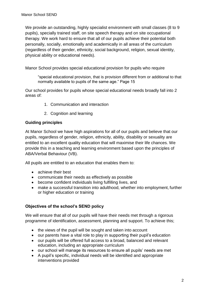We provide an outstanding, highly specialist environment with small classes (8 to 9 pupils), specially trained staff, on site speech therapy and on site occupational therapy. We work hard to ensure that all of our pupils achieve their potential both personally, socially, emotionally and academically in all areas of the curriculum (regardless of their gender, ethnicity, social background, religion, sexual identity, physical ability or educational needs).

Manor School provides special educational provision for pupils who require

"special educational provision, that is provision different from or additional to that normally available to pupils of the same age." Page 15

Our school provides for pupils whose special educational needs broadly fall into 2 areas of:

- 1. Communication and interaction
- 2. Cognition and learning

#### **Guiding principles**

At Manor School we have high aspirations for all of our pupils and believe that our pupils, regardless of gender, religion, ethnicity, ability, disability or sexuality are entitled to an excellent quality education that will maximise their life chances. We provide this in a teaching and learning environment based upon the principles of ABA/Verbal Behaviour (VB).

All pupils are entitled to an education that enables them to:

- achieve their best
- communicate their needs as effectively as possible
- become confident individuals living fulfilling lives, and
- make a successful transition into adulthood, whether into employment, further or higher education or training

# **Objectives of the school's SEND policy**

We will ensure that all of our pupils will have their needs met through a rigorous programme of identification, assessment, planning and support. To achieve this;

- the views of the pupil will be sought and taken into account
- our parents have a vital role to play in supporting their pupil's education
- our pupils will be offered full access to a broad, balanced and relevant education, including an appropriate curriculum
- our school will manage its resources to ensure all pupils' needs are met
- A pupil's specific, individual needs will be identified and appropriate interventions provided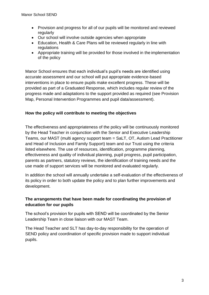- Provision and progress for all of our pupils will be monitored and reviewed regularly
- Our school will involve outside agencies when appropriate
- Education, Health & Care Plans will be reviewed regularly in line with regulations
- Appropriate training will be provided for those involved in the implementation of the policy

Manor School ensures that each individual's pupil's needs are identified using accurate assessment and our school will put appropriate evidence-based interventions in place to ensure pupils make excellent progress. These will be provided as part of a Graduated Response, which includes regular review of the progress made and adaptations to the support provided as required (see Provision Map, Personal Intervention Programmes and pupil data/assessment).

# **How the policy will contribute to meeting the objectives**

The effectiveness and appropriateness of the policy will be continuously monitored by the Head Teacher in conjunction with the Senior and Executive Leadership Teams, our MAST (multi agency support team = SaLT, OT, Autism Lead Practitioner and Head of Inclusion and Family Support) team and our Trust using the criteria listed elsewhere. The use of resources, identification, programme planning, effectiveness and quality of individual planning, pupil progress, pupil participation, parents as partners, statutory reviews, the identification of training needs and the use made of support services will be monitored and evaluated regularly.

In addition the school will annually undertake a self-evaluation of the effectiveness of its policy in order to both update the policy and to plan further improvements and development.

# **The arrangements that have been made for coordinating the provision of education for our pupils**

The school's provision for pupils with SEND will be coordinated by the Senior Leadership Team in close liaison with our MAST Team.

The Head Teacher and SLT has day-to-day responsibility for the operation of SEND policy and coordination of specific provision made to support individual pupils.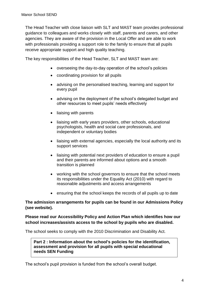The Head Teacher with close liaison with SLT and MAST team provides professional guidance to colleagues and works closely with staff, parents and carers, and other agencies. They are aware of the provision in the Local Offer and are able to work with professionals providing a support role to the family to ensure that all pupils receive appropriate support and high quality teaching.

The key responsibilities of the Head Teacher, SLT and MAST team are:

- overseeing the day-to-day operation of the school's policies
- coordinating provision for all pupils
- advising on the personalised teaching, learning and support for every pupil
- advising on the deployment of the school's delegated budget and other resources to meet pupils' needs effectively
- liaising with parents
- liaising with early years providers, other schools, educational psychologists, health and social care professionals, and independent or voluntary bodies
- liaising with external agencies, especially the local authority and its support services
- liaising with potential next providers of education to ensure a pupil and their parents are informed about options and a smooth transition is planned
- working with the school governors to ensure that the school meets its responsibilities under the Equality Act (2010) with regard to reasonable adjustments and access arrangements
- ensuring that the school keeps the records of all pupils up to date

#### **The admission arrangements for pupils can be found in our Admissions Policy (see website).**

**Please read our Accessibility Policy and Action Plan which identifies how our school increases/assists access to the school by pupils who are disabled.**

The school seeks to comply with the 2010 Discrimination and Disability Act.

**Part 2 : Information about the school's policies for the identification, assessment and provision for all pupils with special educational needs SEN Funding**

The school's pupil provision is funded from the school's overall budget.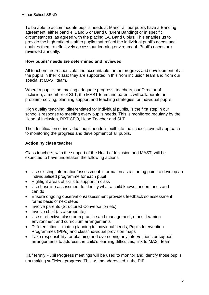To be able to accommodate pupil's needs at Manor all our pupils have a Banding agreement; either band 4, Band 5 or Band 6 (Brent Banding) or in specific circumstances, as agreed with the placing LA, Band 6 plus. This enables us to provide the high ratio of staff to pupils that reflect the individual pupil's needs and enables them to effectively access our learning environment. Pupil's needs are reviewed annually.

#### **How pupils' needs are determined and reviewed.**

All teachers are responsible and accountable for the progress and development of all the pupils in their class; they are supported in this from inclusion team and from our specialist MAST team.

Where a pupil is not making adequate progress, teachers, our Director of Inclusion, a member of SLT, the MAST team and parents will collaborate on problem- solving, planning support and teaching strategies for individual pupils.

High quality teaching, differentiated for individual pupils, is the first step in our school's response to meeting every pupils needs. This is monitored regularly by the Head of Inclusion, RPT CEO, Head Teacher and SLT.

The identification of individual pupil needs is built into the school's overall approach to monitoring the progress and development of all pupils.

#### **Action by class teacher**

Class teachers, with the support of the Head of Inclusion and MAST, will be expected to have undertaken the following actions:

- Use existing information/assessment information as a starting point to develop an individualised programme for each pupil
- Highlight areas of skills to support in class
- Use baseline assessment to identify what a child knows, understands and can do
- Ensure ongoing observation/assessment provides feedback so assessment forms basis of next steps
- Involve parents (Structured Conversation etc)
- Involve child (as appropriate)
- Use of effective classroom practice and management, ethos, learning environment and curriculum arrangements
- Differentiation match planning to individual needs; Pupils Intervention Programmes (PIPs) and class/individual provision maps
- Take responsibility for planning and overseeing any interventions or support arrangements to address the child's learning difficulties; link to MAST team

Half termly Pupil Progress meetings will be used to monitor and identify those pupils not making sufficient progress. This will be addressed in the PIP.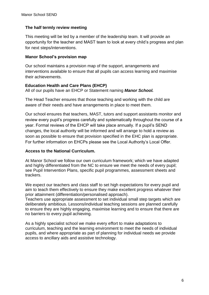#### **The half termly review meeting**

This meeting will be led by a member of the leadership team. It will provide an opportunity for the teacher and MAST team to look at every child's progress and plan for next steps/interventions.

#### **Manor School's provision map**

Our school maintains a provision map of the support, arrangements and interventions available to ensure that all pupils can access learning and maximise their achievements.

#### **Education Health and Care Plans (EHCP)**

All of our pupils have an EHCP or Statement naming *Manor School.*

The Head Teacher ensures that those teaching and working with the child are aware of their needs and have arrangements in place to meet them.

Our school ensures that teachers, MAST, tutors and support assistants monitor and review every pupil's progress carefully and systematically throughout the course of a year. Formal reviews of the EHCP will take place annually. If a pupil's SEND changes, the local authority will be informed and will arrange to hold a review as soon as possible to ensure that provision specified in the EHC plan is appropriate. For further information on EHCPs please see the Local Authority's Local Offer.

# **Access to the National Curriculum.**

At Manor School we follow our own curriculum framework; which we have adapted and highly differentiated from the NC to ensure we meet the needs of every pupil; see Pupil Intervention Plans, specific pupil programmes, assessment sheets and trackers.

We expect our teachers and class staff to set high expectations for every pupil and aim to teach them effectively to ensure they make excellent progress whatever their prior attainment (differentiation/personalised approach).

Teachers use appropriate assessment to set individual small step targets which are deliberately ambitious. Lessons/individual teaching sessions are planned carefully to ensure they are highly engaging, maximise learning and to ensure that there are no barriers to every pupil achieving.

As a highly specialist school we make every effort to make adaptations to curriculum, teaching and the learning environment to meet the needs of individual pupils, and where appropriate as part of planning for individual needs we provide access to ancillary aids and assistive technology.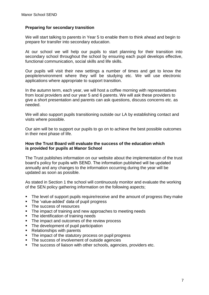#### **Preparing for secondary transition**

We will start talking to parents in Year 5 to enable them to think ahead and begin to prepare for transfer into secondary education.

At our school we will help our pupils to start planning for their transition into secondary school throughout the school by ensuring each pupil develops effective, functional communication, social skills and life skills.

Our pupils will visit their new settings a number of times and get to know the people/environment where they will be studying etc. We will use electronic applications where appropriate to support transition.

In the autumn term, each year, we will host a coffee morning with representatives from local providers and our year 5 and 6 parents. We will ask these providers to give a short presentation and parents can ask questions, discuss concerns etc. as needed.

We will also support pupils transitioning outside our LA by establishing contact and visits where possible.

Our aim will be to support our pupils to go on to achieve the best possible outcomes in their next phase of life.

#### **How the Trust Board will evaluate the success of the education which is provided for pupils at Manor School**

The Trust publishes information on our website about the implementation of the trust board's policy for pupils with SEND. The information published will be updated annually and any changes to the information occurring during the year will be updated as soon as possible.

As stated in Section 1 the school will continuously monitor and evaluate the working of the SEN policy gathering information on the following aspects;

- The level of support pupils require/receive and the amount of progress they make
- The 'value-added' data of pupil progress
- The success of resources
- The impact of training and new approaches to meeting needs
- The identification of training needs
- The impact and outcomes of the review process
- The development of pupil participation
- Relationships with parents
- The impact of the statutory process on pupil progress
- The success of involvement of outside agencies
- **The success of liaison with other schools, agencies, providers etc.**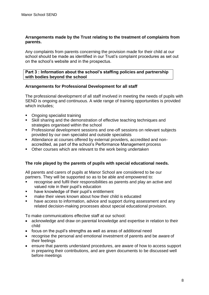#### **Arrangements made by the Trust relating to the treatment of complaints from parents.**

Any complaints from parents concerning the provision made for their child at our school should be made as identified in our Trust's complaint procedures as set out on the school's website and in the prospectus.

#### **Part 3 : Information about the school's staffing policies and partnership with bodies beyond the school**

#### **Arrangements for Professional Development for all staff**

The professional development of all staff involved in meeting the needs of pupils with SEND is ongoing and continuous. A wide range of training opportunities is provided which includes;

- Ongoing specialist training
- Skill sharing and the demonstration of effective teaching techniques and strategies organised within the school
- **Professional development sessions and one-off sessions on relevant subjects** provided by our own specialist and outside specialists
- Attendance at courses offered by external providers, accredited and nonaccredited, as part of the school's Performance Management process
- Other courses which are relevant to the work being undertaken

# **The role played by the parents of pupils with special educational needs.**

All parents and carers of pupils at Manor School are considered to be our partners. They will be supported so as to be able and empowered to:

- recognise and fulfil their responsibilities as parents and play an active and valued role in their pupil's education
- have knowledge of their pupil's entitlement
- **EXECT** make their views known about how their child is educated
- have access to information, advice and support during assessment and any related decision-making processes about special educational provision.

To make communications effective staff at our school:

- acknowledge and draw on parental knowledge and expertise in relation to their child
- focus on the pupil's strengths as well as areas of additional need
- recognise the personal and emotional investment of parents and be aware of their feelings
- ensure that parents understand procedures, are aware of how to access support in preparing their contributions, and are given documents to be discussed well before meetings